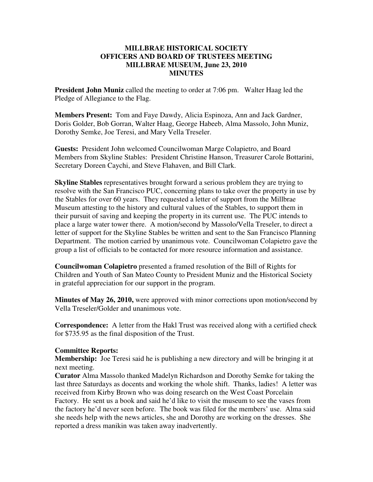## **MILLBRAE HISTORICAL SOCIETY OFFICERS AND BOARD OF TRUSTEES MEETING MILLBRAE MUSEUM, June 23, 2010 MINUTES**

**President John Muniz** called the meeting to order at 7:06 pm. Walter Haag led the Pledge of Allegiance to the Flag.

**Members Present:** Tom and Faye Dawdy, Alicia Espinoza, Ann and Jack Gardner, Doris Golder, Bob Gorran, Walter Haag, George Habeeb, Alma Massolo, John Muniz, Dorothy Semke, Joe Teresi, and Mary Vella Treseler.

**Guests:** President John welcomed Councilwoman Marge Colapietro, and Board Members from Skyline Stables: President Christine Hanson, Treasurer Carole Bottarini, Secretary Doreen Caychi, and Steve Flahaven, and Bill Clark.

**Skyline Stables** representatives brought forward a serious problem they are trying to resolve with the San Francisco PUC, concerning plans to take over the property in use by the Stables for over 60 years. They requested a letter of support from the Millbrae Museum attesting to the history and cultural values of the Stables, to support them in their pursuit of saving and keeping the property in its current use. The PUC intends to place a large water tower there. A motion/second by Massolo/Vella Treseler, to direct a letter of support for the Skyline Stables be written and sent to the San Francisco Planning Department. The motion carried by unanimous vote. Councilwoman Colapietro gave the group a list of officials to be contacted for more resource information and assistance.

**Councilwoman Colapietro** presented a framed resolution of the Bill of Rights for Children and Youth of San Mateo County to President Muniz and the Historical Society in grateful appreciation for our support in the program.

**Minutes of May 26, 2010,** were approved with minor corrections upon motion/second by Vella Treseler/Golder and unanimous vote.

**Correspondence:** A letter from the Hakl Trust was received along with a certified check for \$735.95 as the final disposition of the Trust.

## **Committee Reports:**

**Membership:** Joe Teresi said he is publishing a new directory and will be bringing it at next meeting.

**Curator** Alma Massolo thanked Madelyn Richardson and Dorothy Semke for taking the last three Saturdays as docents and working the whole shift. Thanks, ladies! A letter was received from Kirby Brown who was doing research on the West Coast Porcelain Factory. He sent us a book and said he'd like to visit the museum to see the vases from the factory he'd never seen before. The book was filed for the members' use. Alma said she needs help with the news articles, she and Dorothy are working on the dresses. She reported a dress manikin was taken away inadvertently.